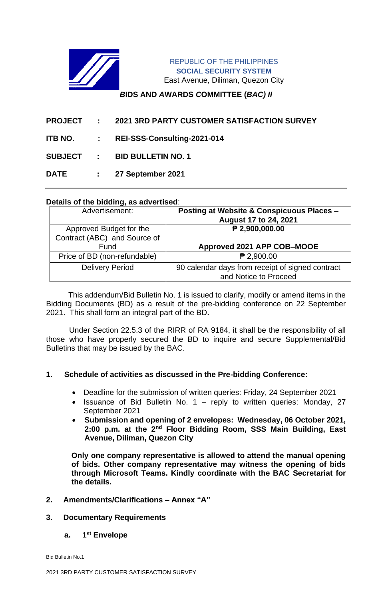

REPUBLIC OF THE PHILIPPINES **SOCIAL SECURITY SYSTEM** East Avenue, Diliman, Quezon City

# *B***IDS AND** *A***WARDS** *C***OMMITTEE (***BAC) II*

|  | <b>PROJECT : 2021 3RD PARTY CUSTOMER SATISFACTION SURVEY</b> |
|--|--------------------------------------------------------------|
|  | ITB NO. : REI-SSS-Consulting-2021-014                        |
|  | SUBJECT : BID BULLETIN NO. 1                                 |
|  | DATE : 27 September 2021                                     |

## **Details of the bidding, as advertised**:

| Advertisement:               | <b>Posting at Website &amp; Conspicuous Places -</b><br>August 17 to 24, 2021 |
|------------------------------|-------------------------------------------------------------------------------|
| Approved Budget for the      | $P$ 2,900,000.00                                                              |
| Contract (ABC) and Source of |                                                                               |
| Fund                         | Approved 2021 APP COB-MOOE                                                    |
| Price of BD (non-refundable) | $\mathbf{P}$ 2,900.00                                                         |
| <b>Delivery Period</b>       | 90 calendar days from receipt of signed contract                              |
|                              | and Notice to Proceed                                                         |

 This addendum/Bid Bulletin No. 1 is issued to clarify, modify or amend items in the Bidding Documents (BD) as a result of the pre-bidding conference on 22 September 2021. This shall form an integral part of the BD**.**

Under Section 22.5.3 of the RIRR of RA 9184, it shall be the responsibility of all those who have properly secured the BD to inquire and secure Supplemental/Bid Bulletins that may be issued by the BAC.

# **1. Schedule of activities as discussed in the Pre-bidding Conference:**

- Deadline for the submission of written queries: Friday, 24 September 2021
- Issuance of Bid Bulletin No.  $1 -$  reply to written queries: Monday, 27 September 2021
- **Submission and opening of 2 envelopes: Wednesday, 06 October 2021, 2:00 p.m. at the 2nd Floor Bidding Room, SSS Main Building, East Avenue, Diliman, Quezon City**

**Only one company representative is allowed to attend the manual opening of bids. Other company representative may witness the opening of bids through Microsoft Teams. Kindly coordinate with the BAC Secretariat for the details.**

### **2. Amendments/Clarifications – Annex "A"**

### **3. Documentary Requirements**

#### **a. 1 st Envelope**

Bid Bulletin No.1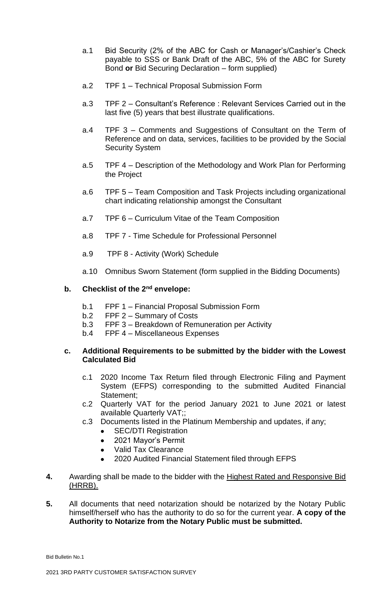- a.1 Bid Security (2% of the ABC for Cash or Manager's/Cashier's Check payable to SSS or Bank Draft of the ABC, 5% of the ABC for Surety Bond **or** Bid Securing Declaration – form supplied)
- a.2 TPF 1 Technical Proposal Submission Form
- a.3 TPF 2 Consultant's Reference : Relevant Services Carried out in the last five (5) years that best illustrate qualifications.
- a.4 TPF 3 Comments and Suggestions of Consultant on the Term of Reference and on data, services, facilities to be provided by the Social Security System
- a.5 TPF 4 Description of the Methodology and Work Plan for Performing the Project
- a.6 TPF 5 Team Composition and Task Projects including organizational chart indicating relationship amongst the Consultant
- a.7 TPF 6 Curriculum Vitae of the Team Composition
- a.8 TPF 7 Time Schedule for Professional Personnel
- a.9 TPF 8 Activity (Work) Schedule
- a.10 Omnibus Sworn Statement (form supplied in the Bidding Documents)

## **b. Checklist of the 2nd envelope:**

- b.1 FPF 1 Financial Proposal Submission Form
- b.2 FPF 2 Summary of Costs
- b.3 FPF 3 Breakdown of Remuneration per Activity
- b.4 FPF 4 Miscellaneous Expenses

## **c. Additional Requirements to be submitted by the bidder with the Lowest Calculated Bid**

- c.1 2020 Income Tax Return filed through Electronic Filing and Payment System (EFPS) corresponding to the submitted Audited Financial Statement;
- c.2 Quarterly VAT for the period January 2021 to June 2021 or latest available Quarterly VAT;;
- c.3 Documents listed in the Platinum Membership and updates, if any;
	- **SEC/DTI Registration**
	- 2021 Mayor's Permit
	- Valid Tax Clearance
	- 2020 Audited Financial Statement filed through EFPS
- **4.** Awarding shall be made to the bidder with the Highest Rated and Responsive Bid (HRRB).
- **5.** All documents that need notarization should be notarized by the Notary Public himself/herself who has the authority to do so for the current year. **A copy of the Authority to Notarize from the Notary Public must be submitted.**

Bid Bulletin No.1